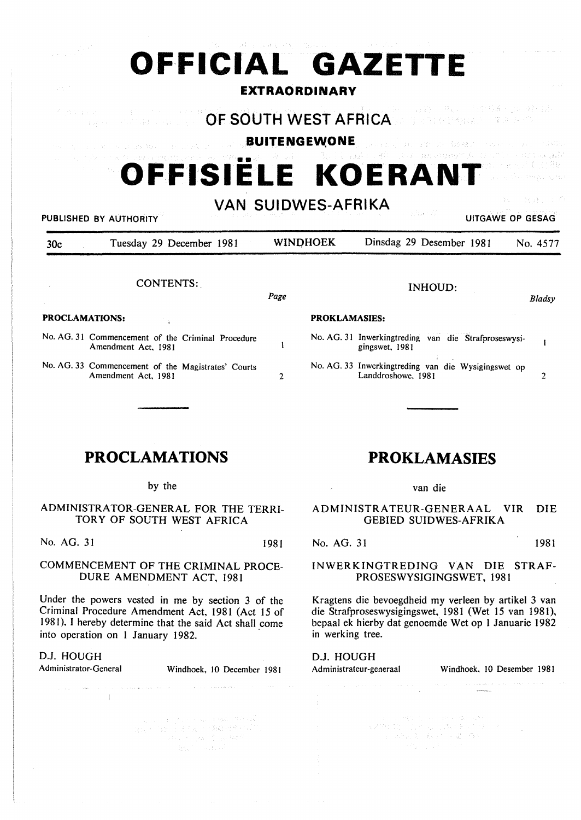| 学生学                   | OFFICIAL GAZETTE                                                                                                                                                                                                                                                                                                                                                                                                                         |              | <b>EXTRAORDINARY</b>                         | 高级 医心理病 医马耳耳氏试验检梅毒 医心包 医心包 医神经病毒 医心包病                                                                                                                                                               |                                        |
|-----------------------|------------------------------------------------------------------------------------------------------------------------------------------------------------------------------------------------------------------------------------------------------------------------------------------------------------------------------------------------------------------------------------------------------------------------------------------|--------------|----------------------------------------------|-----------------------------------------------------------------------------------------------------------------------------------------------------------------------------------------------------|----------------------------------------|
|                       | そうせつ リアン・バード こぼう アンカイ<br><b>Contract OF SOUTH WEST AFRICA</b> And the Contract of the Contract of the Contract of the Contract of the Contract of the Contract of the Contract of the Contract of the Contract of the Contract of the Contract of the Contra<br>man service and service and any model of the state of the<br>is a respectively compared to the second policy of $\mathcal{U}$ and $\mathcal{U}$ and<br>OFFISIELE KOERANT |              |                                              | 2013年10月19日 1月前 「秋川 百分市道」20日経は5月<br><b>BUITENGEWONE</b> And the start of the second and the<br>1999、高江村镇总路区,1994年1998年1995年10月10日,1995年19月10日,1995年19月10日,1995年19月10日,1995年10月10日,1995年10月10日,1995年 |                                        |
| 30 <sub>c</sub>       | PUBLISHED BY AUTHORITY<br>Tuesday 29 December 1981                                                                                                                                                                                                                                                                                                                                                                                       |              | <b>VAN SUIDWES-AFRIKA</b><br><b>WINDHOEK</b> | a ne foar di<br>Dinsdag 29 Desember 1981                                                                                                                                                            | おまい エク<br>UITGAWE OP GESAG<br>No. 4577 |
|                       | <b>CONTENTS:</b>                                                                                                                                                                                                                                                                                                                                                                                                                         | Page         |                                              | <b>INHOUD:</b>                                                                                                                                                                                      | Bladsy                                 |
| <b>PROCLAMATIONS:</b> |                                                                                                                                                                                                                                                                                                                                                                                                                                          |              | <b>PROKLAMASIES:</b>                         |                                                                                                                                                                                                     |                                        |
|                       | No. AG. 31 Commencement of the Criminal Procedure<br>Amendment Act, 1981                                                                                                                                                                                                                                                                                                                                                                 |              |                                              | No. AG. 31 Inwerkingtreding van die Strafproseswysi-<br>gingswet, 1981                                                                                                                              | 1                                      |
|                       | No. AG. 33 Commencement of the Magistrates' Courts<br>Amendment Act, 1981                                                                                                                                                                                                                                                                                                                                                                | $\mathbf{2}$ |                                              | No. AG. 33 Inwerkingtreding van die Wysigingswet op<br>Landdroshowe, 1981                                                                                                                           | 2                                      |

# **PROCLAMATIONS**

### by the

## ADMINISTRATOR-GENERAL FOR THE TERRI-TORY OF SOUTH WEST AFRICA

No. AG. 31 1981

# COMMENCEMENT OF THE CRIMINAL PROCE-DURE AMENDMENT ACT, 1981

Under the powers vested in me by section 3 of the Criminal Procedure Amendment Act, 1981 (Act 15 of 1981). I hereby determine that the said Act shall come into operation on I January 1982.

 $\label{eq:1} \hat{c}_{\alpha} = \hat{c}_{\alpha} \hat{a}_{\alpha} \hat{a}_{\alpha} + \hat{a}_{\alpha} \hat{a}_{\alpha} + \hat{a}_{\alpha} \hat{a}_{\alpha} + \hat{a}_{\alpha} \hat{a}_{\alpha} + \hat{a}_{\alpha} \hat{a}_{\alpha}$ 

# D.J. HOUGH

 $\pm 1$ 

Administrator-General Windhoek, 10 December 1981

 $\label{eq:1} \mathcal{L} = \mathcal{L} \left( \mathcal{L} \right) \mathcal{L} \left( \mathcal{L} \right) \mathcal{L} \left( \mathcal{L} \right) \mathcal{L} \left( \mathcal{L} \right) \mathcal{L} \left( \mathcal{L} \right) \mathcal{L} \left( \mathcal{L} \right) \mathcal{L} \left( \mathcal{L} \right)$ 

 $\gamma_{\rm eff} = \sigma_{\rm T} \times \gamma_{\rm c} \gamma_{\rm eff} = 0.012 \pm 0.05$  and

# **PROKLAMASIES**

#### van die

## ADMINISTRATEUR-GENERAAL VIR DIE GEBIED SUIDWES-AFRIKA

No. AG. 31 1981

 $\sim$ 

## INWERKINGTREDING VAN DIE STRAF-PROSESWYSIGINGSWET, 1981

Kragtens die bevoegdheid my verleen by artikel 3 van die Strafproseswysigingswet, 1981 (Wet 15 van 1981), bepaal ek hierby dat genoemde Wet op I Januarie 1982 in werking tree.

 $\begin{aligned} \mathbb{E} &\mathbb{E}[\mathbb{E}[\mathbb{E}[\mathbb{E}[\mathbb{E}[\mathbb{E}[\mathbb{E}[\mathbb{E}[\mathbb{E}[\mathbb{E}[\mathbb{E}[\mathbb{E}[\mathbb{E}[\mathbb{E}[\mathbb{E}[\mathbb{E}[\mathbb{E}[\mathbb{E}[\mathbb{E}[\mathbb{E}[\mathbb{E}[\mathbb{E}[\mathbb{E}[\mathbb{E}[\mathbb{E}[\mathbb{E}[\mathbb{E}[\mathbb{E}[\mathbb{E}[\mathbb{E}[\mathbb{E}[\mathbb{E}[\mathbb{E}[\mathbb{E}[\mathbb{$ 

D.J. HOUGH<br>Administrateur-generaal

 $\label{eq:1} \mathcal{L}_{\mathcal{A}}(\mathbf{r},\mathbf{r},\mathbf{r})=\mathcal{L}_{\mathcal{A}}(\mathbf{r},\mathbf{r},\mathbf{r})\mathcal{L}_{\mathcal{A}}(\mathbf{r},\mathbf{r},\mathbf{r},\mathbf{r})$ 

Windhoek, 10 Desember 1981

 $\begin{array}{c} \begin{array}{c} \begin{array}{c} \begin{array}{c} \end{array} \end{array} \end{array} \end{array}$